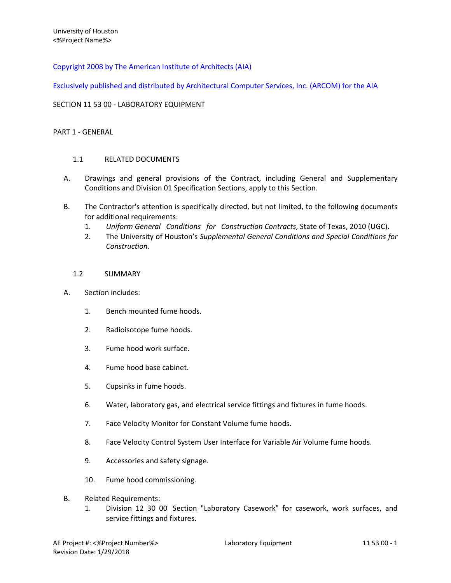Copyright 2008 by The American Institute of Architects (AIA)

Exclusively published and distributed by Architectural Computer Services, Inc. (ARCOM) for the AIA

# SECTION 11 53 00 - LABORATORY EQUIPMENT

## PART 1 - GENERAL

# 1.1 RELATED DOCUMENTS

- A. Drawings and general provisions of the Contract, including General and Supplementary Conditions and Division 01 Specification Sections, apply to this Section.
- B. The Contractor's attention is specifically directed, but not limited, to the following documents for additional requirements:
	- 1. *Uniform General Conditions for Construction Contracts*, State of Texas, 2010 (UGC).
	- 2. The University of Houston's *Supplemental General Conditions and Special Conditions for Construction.*

## 1.2 SUMMARY

- A. Section includes:
	- 1. Bench mounted fume hoods.
	- 2. Radioisotope fume hoods.
	- 3. Fume hood work surface.
	- 4. Fume hood base cabinet.
	- 5. Cupsinks in fume hoods.
	- 6. Water, laboratory gas, and electrical service fittings and fixtures in fume hoods.
	- 7. Face Velocity Monitor for Constant Volume fume hoods.
	- 8. Face Velocity Control System User Interface for Variable Air Volume fume hoods.
	- 9. Accessories and safety signage.
	- 10. Fume hood commissioning.
- B. Related Requirements:
	- 1. Division 12 30 00 Section "Laboratory Casework" for casework, work surfaces, and service fittings and fixtures.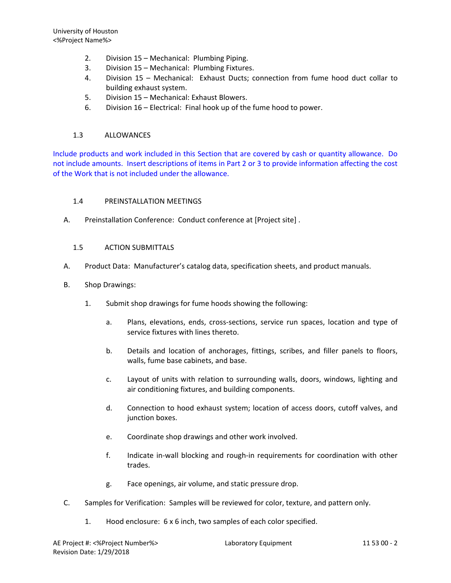- 2. Division 15 Mechanical: Plumbing Piping.
- 3. Division 15 Mechanical: Plumbing Fixtures.
- 4. Division 15 Mechanical: Exhaust Ducts; connection from fume hood duct collar to building exhaust system.
- 5. Division 15 Mechanical: Exhaust Blowers.
- 6. Division 16 Electrical: Final hook up of the fume hood to power.

### 1.3 ALLOWANCES

Include products and work included in this Section that are covered by cash or quantity allowance. Do not include amounts. Insert descriptions of items in Part 2 or 3 to provide information affecting the cost of the Work that is not included under the allowance.

## 1.4 PREINSTALLATION MEETINGS

A. Preinstallation Conference: Conduct conference at [Project site] .

### 1.5 ACTION SUBMITTALS

- A. Product Data: Manufacturer's catalog data, specification sheets, and product manuals.
- B. Shop Drawings:
	- 1. Submit shop drawings for fume hoods showing the following:
		- a. Plans, elevations, ends, cross-sections, service run spaces, location and type of service fixtures with lines thereto.
		- b. Details and location of anchorages, fittings, scribes, and filler panels to floors, walls, fume base cabinets, and base.
		- c. Layout of units with relation to surrounding walls, doors, windows, lighting and air conditioning fixtures, and building components.
		- d. Connection to hood exhaust system; location of access doors, cutoff valves, and junction boxes.
		- e. Coordinate shop drawings and other work involved.
		- f. Indicate in-wall blocking and rough-in requirements for coordination with other trades.
		- g. Face openings, air volume, and static pressure drop.
- C. Samples for Verification: Samples will be reviewed for color, texture, and pattern only.
	- 1. Hood enclosure: 6 x 6 inch, two samples of each color specified.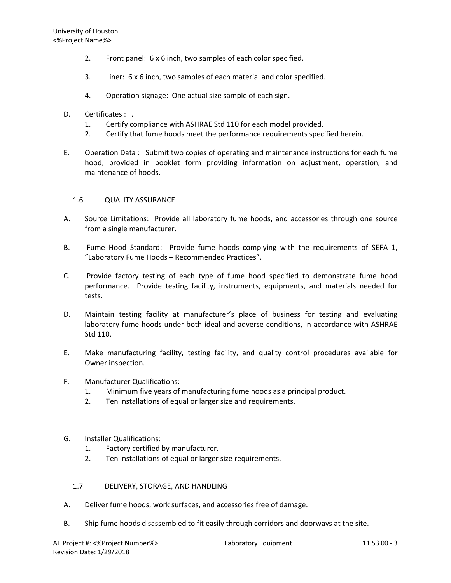- 2. Front panel: 6 x 6 inch, two samples of each color specified.
- 3. Liner: 6 x 6 inch, two samples of each material and color specified.
- 4. Operation signage: One actual size sample of each sign.
- D. Certificates : .
	- 1. Certify compliance with ASHRAE Std 110 for each model provided.
	- 2. Certify that fume hoods meet the performance requirements specified herein.
- E. Operation Data : Submit two copies of operating and maintenance instructions for each fume hood, provided in booklet form providing information on adjustment, operation, and maintenance of hoods.

# 1.6 QUALITY ASSURANCE

- A. Source Limitations: Provide all laboratory fume hoods, and accessories through one source from a single manufacturer.
- B. Fume Hood Standard: Provide fume hoods complying with the requirements of SEFA 1, "Laboratory Fume Hoods – Recommended Practices".
- C. Provide factory testing of each type of fume hood specified to demonstrate fume hood performance. Provide testing facility, instruments, equipments, and materials needed for tests.
- D. Maintain testing facility at manufacturer's place of business for testing and evaluating laboratory fume hoods under both ideal and adverse conditions, in accordance with ASHRAE Std 110.
- E. Make manufacturing facility, testing facility, and quality control procedures available for Owner inspection.
- F. Manufacturer Qualifications:
	- 1. Minimum five years of manufacturing fume hoods as a principal product.
	- 2. Ten installations of equal or larger size and requirements.
- G. Installer Qualifications:
	- 1. Factory certified by manufacturer.
	- 2. Ten installations of equal or larger size requirements.
	- 1.7 DELIVERY, STORAGE, AND HANDLING
- A. Deliver fume hoods, work surfaces, and accessories free of damage.
- B. Ship fume hoods disassembled to fit easily through corridors and doorways at the site.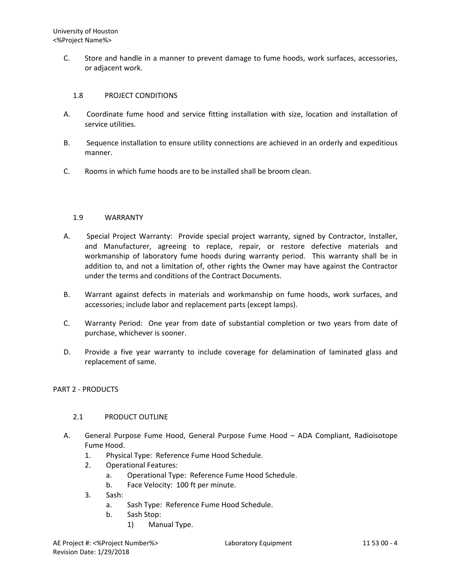C. Store and handle in a manner to prevent damage to fume hoods, work surfaces, accessories, or adjacent work.

## 1.8 PROJECT CONDITIONS

- A. Coordinate fume hood and service fitting installation with size, location and installation of service utilities.
- B. Sequence installation to ensure utility connections are achieved in an orderly and expeditious manner.
- C. Rooms in which fume hoods are to be installed shall be broom clean.

## 1.9 WARRANTY

- A. Special Project Warranty: Provide special project warranty, signed by Contractor, Installer, and Manufacturer, agreeing to replace, repair, or restore defective materials and workmanship of laboratory fume hoods during warranty period. This warranty shall be in addition to, and not a limitation of, other rights the Owner may have against the Contractor under the terms and conditions of the Contract Documents.
- B. Warrant against defects in materials and workmanship on fume hoods, work surfaces, and accessories; include labor and replacement parts (except lamps).
- C. Warranty Period: One year from date of substantial completion or two years from date of purchase, whichever is sooner.
- D. Provide a five year warranty to include coverage for delamination of laminated glass and replacement of same.

### PART 2 - PRODUCTS

# 2.1 PRODUCT OUTLINE

- A. General Purpose Fume Hood, General Purpose Fume Hood ADA Compliant, Radioisotope Fume Hood.
	- 1. Physical Type: Reference Fume Hood Schedule.
	- 2. Operational Features:
		- a. Operational Type: Reference Fume Hood Schedule.
		- b. Face Velocity: 100 ft per minute.
	- 3. Sash:
		- a. Sash Type: Reference Fume Hood Schedule.
		- b. Sash Stop:
			- 1) Manual Type.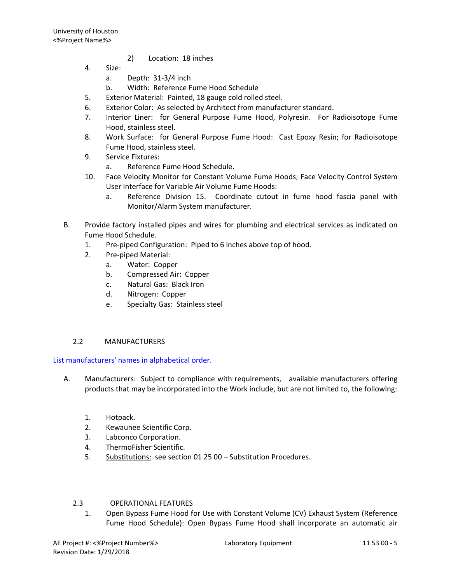- 2) Location: 18 inches
- 4. Size:
	- a. Depth: 31-3/4 inch
	- b. Width: Reference Fume Hood Schedule
- 5. Exterior Material: Painted, 18 gauge cold rolled steel.
- 6. Exterior Color: As selected by Architect from manufacturer standard.
- 7. Interior Liner: for General Purpose Fume Hood, Polyresin. For Radioisotope Fume Hood, stainless steel.
- 8. Work Surface: for General Purpose Fume Hood: Cast Epoxy Resin; for Radioisotope Fume Hood, stainless steel.
- 9. Service Fixtures:
	- a. Reference Fume Hood Schedule.
- 10. Face Velocity Monitor for Constant Volume Fume Hoods; Face Velocity Control System User Interface for Variable Air Volume Fume Hoods:
	- a. Reference Division 15. Coordinate cutout in fume hood fascia panel with Monitor/Alarm System manufacturer.
- B. Provide factory installed pipes and wires for plumbing and electrical services as indicated on Fume Hood Schedule.
	- 1. Pre-piped Configuration: Piped to 6 inches above top of hood.
	- 2. Pre-piped Material:
		- a. Water: Copper
		- b. Compressed Air: Copper
		- c. Natural Gas: Black Iron
		- d. Nitrogen: Copper
		- e. Specialty Gas: Stainless steel

# 2.2 MANUFACTURERS

List manufacturers' names in alphabetical order.

- A. Manufacturers: Subject to compliance with requirements, available manufacturers offering products that may be incorporated into the Work include, but are not limited to, the following:
	- 1. Hotpack.
	- 2. Kewaunee Scientific Corp.
	- 3. Labconco Corporation.
	- 4. ThermoFisher Scientific.
	- 5. Substitutions: see section 01 25 00 Substitution Procedures.

# 2.3 OPERATIONAL FEATURES

1. Open Bypass Fume Hood for Use with Constant Volume (CV) Exhaust System (Reference Fume Hood Schedule): Open Bypass Fume Hood shall incorporate an automatic air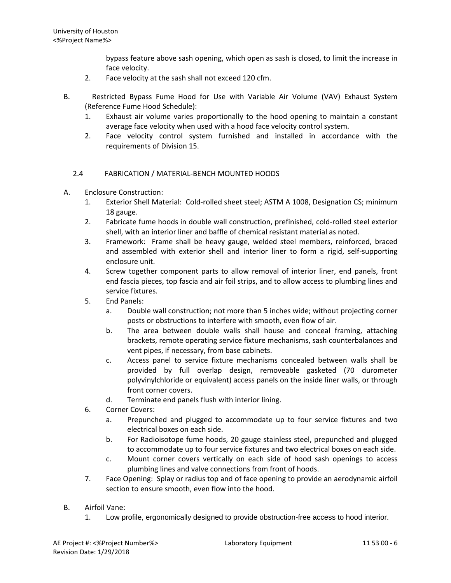bypass feature above sash opening, which open as sash is closed, to limit the increase in face velocity.

- 2. Face velocity at the sash shall not exceed 120 cfm.
- B. Restricted Bypass Fume Hood for Use with Variable Air Volume (VAV) Exhaust System (Reference Fume Hood Schedule):
	- 1. Exhaust air volume varies proportionally to the hood opening to maintain a constant average face velocity when used with a hood face velocity control system.
	- 2. Face velocity control system furnished and installed in accordance with the requirements of Division 15.

# 2.4 FABRICATION / MATERIAL-BENCH MOUNTED HOODS

- A. Enclosure Construction:
	- 1. Exterior Shell Material: Cold-rolled sheet steel; ASTM A 1008, Designation CS; minimum 18 gauge.
	- 2. Fabricate fume hoods in double wall construction, prefinished, cold-rolled steel exterior shell, with an interior liner and baffle of chemical resistant material as noted.
	- 3. Framework: Frame shall be heavy gauge, welded steel members, reinforced, braced and assembled with exterior shell and interior liner to form a rigid, self-supporting enclosure unit.
	- 4. Screw together component parts to allow removal of interior liner, end panels, front end fascia pieces, top fascia and air foil strips, and to allow access to plumbing lines and service fixtures.
	- 5. End Panels:
		- a. Double wall construction; not more than 5 inches wide; without projecting corner posts or obstructions to interfere with smooth, even flow of air.
		- b. The area between double walls shall house and conceal framing, attaching brackets, remote operating service fixture mechanisms, sash counterbalances and vent pipes, if necessary, from base cabinets.
		- c. Access panel to service fixture mechanisms concealed between walls shall be provided by full overlap design, removeable gasketed (70 durometer polyvinylchloride or equivalent) access panels on the inside liner walls, or through front corner covers.
		- d. Terminate end panels flush with interior lining.
	- 6. Corner Covers:
		- a. Prepunched and plugged to accommodate up to four service fixtures and two electrical boxes on each side.
		- b. For Radioisotope fume hoods, 20 gauge stainless steel, prepunched and plugged to accommodate up to four service fixtures and two electrical boxes on each side.
		- c. Mount corner covers vertically on each side of hood sash openings to access plumbing lines and valve connections from front of hoods.
	- 7. Face Opening: Splay or radius top and of face opening to provide an aerodynamic airfoil section to ensure smooth, even flow into the hood.
- B. Airfoil Vane:
	- 1. Low profile, ergonomically designed to provide obstruction-free access to hood interior.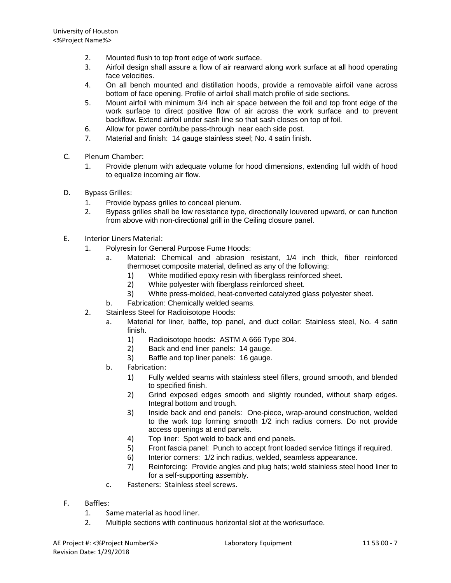- 2. Mounted flush to top front edge of work surface.
- 3. Airfoil design shall assure a flow of air rearward along work surface at all hood operating face velocities.
- 4. On all bench mounted and distillation hoods, provide a removable airfoil vane across bottom of face opening. Profile of airfoil shall match profile of side sections.
- 5. Mount airfoil with minimum 3/4 inch air space between the foil and top front edge of the work surface to direct positive flow of air across the work surface and to prevent backflow. Extend airfoil under sash line so that sash closes on top of foil.
- 6. Allow for power cord/tube pass-through near each side post.
- 7. Material and finish: 14 gauge stainless steel; No. 4 satin finish.
- C. Plenum Chamber:
	- 1. Provide plenum with adequate volume for hood dimensions, extending full width of hood to equalize incoming air flow.
- D. Bypass Grilles:
	- 1. Provide bypass grilles to conceal plenum.
	- 2. Bypass grilles shall be low resistance type, directionally louvered upward, or can function from above with non-directional grill in the Ceiling closure panel.
- E. Interior Liners Material:
	- 1. Polyresin for General Purpose Fume Hoods:
		- a. Material: Chemical and abrasion resistant, 1/4 inch thick, fiber reinforced thermoset composite material, defined as any of the following:
			- 1) White modified epoxy resin with fiberglass reinforced sheet.<br>2) White polvester with fiberglass reinforced sheet.
			- White polyester with fiberglass reinforced sheet.
			- 3) White press-molded, heat-converted catalyzed glass polyester sheet.
		- b. Fabrication: Chemically welded seams.
	- 2. Stainless Steel for Radioisotope Hoods:
		- a. Material for liner, baffle, top panel, and duct collar: Stainless steel, No. 4 satin finish.
			- 1) Radioisotope hoods: ASTM A 666 Type 304.
			- 2) Back and end liner panels: 14 gauge.
			- 3) Baffle and top liner panels: 16 gauge.
		- b. Fabrication:
			- 1) Fully welded seams with stainless steel fillers, ground smooth, and blended to specified finish.
			- 2) Grind exposed edges smooth and slightly rounded, without sharp edges. Integral bottom and trough.
			- 3) Inside back and end panels: One-piece, wrap-around construction, welded to the work top forming smooth 1/2 inch radius corners. Do not provide access openings at end panels.
			- 4) Top liner: Spot weld to back and end panels.
			- 5) Front fascia panel: Punch to accept front loaded service fittings if required.
			- 6) Interior corners: 1/2 inch radius, welded, seamless appearance.
			- 7) Reinforcing: Provide angles and plug hats; weld stainless steel hood liner to for a self-supporting assembly.
		- c. Fasteners: Stainless steel screws.
- F. Baffles:
	- 1. Same material as hood liner.
	- 2. Multiple sections with continuous horizontal slot at the worksurface.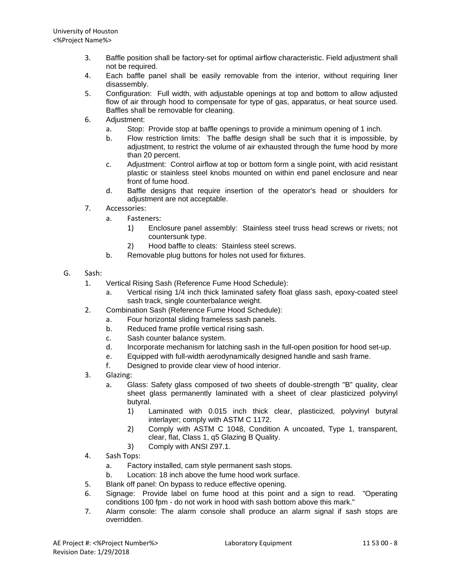- 3. Baffle position shall be factory-set for optimal airflow characteristic. Field adjustment shall not be required.
- 4. Each baffle panel shall be easily removable from the interior, without requiring liner disassembly.
- 5. Configuration: Full width, with adjustable openings at top and bottom to allow adjusted flow of air through hood to compensate for type of gas, apparatus, or heat source used. Baffles shall be removable for cleaning.
- 6. Adjustment:
	- a. Stop: Provide stop at baffle openings to provide a minimum opening of 1 inch.
	- b. Flow restriction limits: The baffle design shall be such that it is impossible, by adjustment, to restrict the volume of air exhausted through the fume hood by more than 20 percent.
	- c. Adjustment: Control airflow at top or bottom form a single point, with acid resistant plastic or stainless steel knobs mounted on within end panel enclosure and near front of fume hood.
	- d. Baffle designs that require insertion of the operator's head or shoulders for adjustment are not acceptable.
- 7. Accessories:
	- a. Fasteners:
		- 1) Enclosure panel assembly: Stainless steel truss head screws or rivets; not countersunk type.
		- 2) Hood baffle to cleats: Stainless steel screws.
		- b. Removable plug buttons for holes not used for fixtures.
- G. Sash:
	- 1. Vertical Rising Sash (Reference Fume Hood Schedule):
		- a. Vertical rising 1/4 inch thick laminated safety float glass sash, epoxy-coated steel sash track, single counterbalance weight.
	- 2. Combination Sash (Reference Fume Hood Schedule):
		- a. Four horizontal sliding frameless sash panels.
		- b. Reduced frame profile vertical rising sash.
		- c. Sash counter balance system.
		- d. Incorporate mechanism for latching sash in the full-open position for hood set-up.
		- e. Equipped with full-width aerodynamically designed handle and sash frame.
		- f. Designed to provide clear view of hood interior.
	- 3. Glazing:
		- a. Glass: Safety glass composed of two sheets of double-strength "B" quality, clear sheet glass permanently laminated with a sheet of clear plasticized polyvinyl butyral.
			- 1) Laminated with 0.015 inch thick clear, plasticized, polyvinyl butyral interlayer; comply with ASTM C 1172.
			- 2) Comply with ASTM C 1048, Condition A uncoated, Type 1, transparent, clear, flat, Class 1, q5 Glazing B Quality.
			- 3) Comply with ANSI Z97.1.
	- 4. Sash Tops:
		- a. Factory installed, cam style permanent sash stops.
		- b. Location: 18 inch above the fume hood work surface.
	- 5. Blank off panel: On bypass to reduce effective opening.
	- 6. Signage: Provide label on fume hood at this point and a sign to read. "Operating conditions 100 fpm - do not work in hood with sash bottom above this mark."
	- 7. Alarm console: The alarm console shall produce an alarm signal if sash stops are overridden.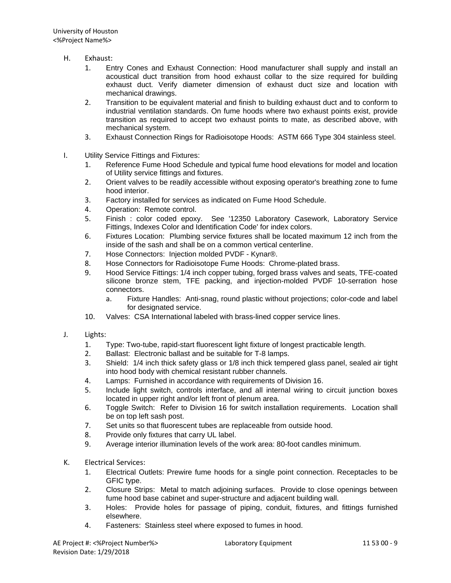- H. Exhaust:
	- 1. Entry Cones and Exhaust Connection: Hood manufacturer shall supply and install an acoustical duct transition from hood exhaust collar to the size required for building exhaust duct. Verify diameter dimension of exhaust duct size and location with mechanical drawings.
	- 2. Transition to be equivalent material and finish to building exhaust duct and to conform to industrial ventilation standards. On fume hoods where two exhaust points exist, provide transition as required to accept two exhaust points to mate, as described above, with mechanical system.
	- 3. Exhaust Connection Rings for Radioisotope Hoods: ASTM 666 Type 304 stainless steel.
- I. Utility Service Fittings and Fixtures:
	- 1. Reference Fume Hood Schedule and typical fume hood elevations for model and location of Utility service fittings and fixtures.
	- 2. Orient valves to be readily accessible without exposing operator's breathing zone to fume hood interior.
	- 3. Factory installed for services as indicated on Fume Hood Schedule.
	- 4. Operation: Remote control.
	- 5. Finish : color coded epoxy. See '12350 Laboratory Casework, Laboratory Service Fittings, Indexes Color and Identification Code' for index colors.
	- 6. Fixtures Location: Plumbing service fixtures shall be located maximum 12 inch from the inside of the sash and shall be on a common vertical centerline.
	- 7. Hose Connectors: Injection molded PVDF Kynar®.
	- 8. Hose Connectors for Radioisotope Fume Hoods: Chrome-plated brass.
	- 9. Hood Service Fittings: 1/4 inch copper tubing, forged brass valves and seats, TFE-coated silicone bronze stem, TFE packing, and injection-molded PVDF 10-serration hose connectors.
		- a. Fixture Handles: Anti-snag, round plastic without projections; color-code and label for designated service.
	- 10. Valves: CSA International labeled with brass-lined copper service lines.
- J. Lights:
	- 1. Type: Two-tube, rapid-start fluorescent light fixture of longest practicable length.
	- 2. Ballast: Electronic ballast and be suitable for T-8 lamps.
	- 3. Shield: 1/4 inch thick safety glass or 1/8 inch thick tempered glass panel, sealed air tight into hood body with chemical resistant rubber channels.
	- 4. Lamps: Furnished in accordance with requirements of Division 16.
	- 5. Include light switch, controls interface, and all internal wiring to circuit junction boxes located in upper right and/or left front of plenum area.
	- 6. Toggle Switch: Refer to Division 16 for switch installation requirements. Location shall be on top left sash post.
	- 7. Set units so that fluorescent tubes are replaceable from outside hood.
	- 8. Provide only fixtures that carry UL label.
	- 9. Average interior illumination levels of the work area: 80-foot candles minimum.
- K. Electrical Services:
	- 1. Electrical Outlets: Prewire fume hoods for a single point connection. Receptacles to be GFIC type.
	- 2. Closure Strips: Metal to match adjoining surfaces. Provide to close openings between fume hood base cabinet and super-structure and adjacent building wall.
	- 3. Holes: Provide holes for passage of piping, conduit, fixtures, and fittings furnished elsewhere.
	- 4. Fasteners: Stainless steel where exposed to fumes in hood.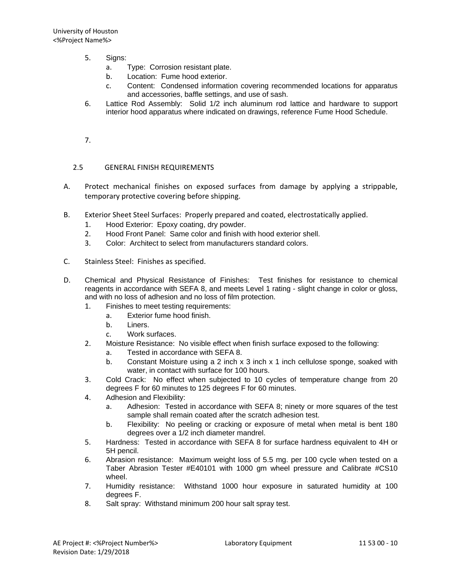- 5. Signs:
	- a. Type: Corrosion resistant plate.
	- b. Location: Fume hood exterior.
	- c. Content: Condensed information covering recommended locations for apparatus and accessories, baffle settings, and use of sash.
- 6. Lattice Rod Assembly: Solid 1/2 inch aluminum rod lattice and hardware to support interior hood apparatus where indicated on drawings, reference Fume Hood Schedule.
- 7.

# 2.5 GENERAL FINISH REQUIREMENTS

- A. Protect mechanical finishes on exposed surfaces from damage by applying a strippable, temporary protective covering before shipping.
- B. Exterior Sheet Steel Surfaces: Properly prepared and coated, electrostatically applied.
	- 1. Hood Exterior: Epoxy coating, dry powder.
	- 2. Hood Front Panel: Same color and finish with hood exterior shell.
	- 3. Color: Architect to select from manufacturers standard colors.
- C. Stainless Steel: Finishes as specified.
- D. Chemical and Physical Resistance of Finishes: Test finishes for resistance to chemical reagents in accordance with SEFA 8, and meets Level 1 rating - slight change in color or gloss, and with no loss of adhesion and no loss of film protection.
	- 1. Finishes to meet testing requirements:
		- a. Exterior fume hood finish.
		- b. Liners.
		- c. Work surfaces.
	- 2. Moisture Resistance: No visible effect when finish surface exposed to the following:
		- a. Tested in accordance with SEFA 8.
		- b. Constant Moisture using a 2 inch x 3 inch x 1 inch cellulose sponge, soaked with water, in contact with surface for 100 hours.
	- 3. Cold Crack: No effect when subjected to 10 cycles of temperature change from 20 degrees F for 60 minutes to 125 degrees F for 60 minutes.
	- 4. Adhesion and Flexibility:
		- a. Adhesion: Tested in accordance with SEFA 8; ninety or more squares of the test sample shall remain coated after the scratch adhesion test.
		- b. Flexibility: No peeling or cracking or exposure of metal when metal is bent 180 degrees over a 1/2 inch diameter mandrel.
	- 5. Hardness: Tested in accordance with SEFA 8 for surface hardness equivalent to 4H or 5H pencil.
	- 6. Abrasion resistance: Maximum weight loss of 5.5 mg. per 100 cycle when tested on a Taber Abrasion Tester #E40101 with 1000 gm wheel pressure and Calibrate #CS10 wheel.
	- 7. Humidity resistance: Withstand 1000 hour exposure in saturated humidity at 100 degrees F.
	- 8. Salt spray: Withstand minimum 200 hour salt spray test.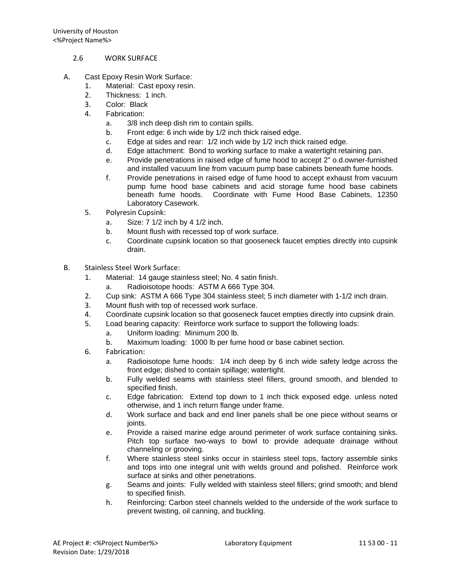- 2.6 WORK SURFACE
- A. Cast Epoxy Resin Work Surface:
	- 1. Material: Cast epoxy resin.
	- 2. Thickness: 1 inch.
	- 3. Color: Black
	- 4. Fabrication:
		- a. 3/8 inch deep dish rim to contain spills.
		- b. Front edge: 6 inch wide by 1/2 inch thick raised edge.
		- c. Edge at sides and rear: 1/2 inch wide by 1/2 inch thick raised edge.
		- d. Edge attachment: Bond to working surface to make a watertight retaining pan.
		- e. Provide penetrations in raised edge of fume hood to accept 2" o.d.owner-furnished and installed vacuum line from vacuum pump base cabinets beneath fume hoods.
		- f. Provide penetrations in raised edge of fume hood to accept exhaust from vacuum pump fume hood base cabinets and acid storage fume hood base cabinets beneath fume hoods. Coordinate with Fume Hood Base Cabinets, 12350 Laboratory Casework.
	- 5. Polyresin Cupsink:
		- a. Size: 7 1/2 inch by 4 1/2 inch.
		- b. Mount flush with recessed top of work surface.
		- c. Coordinate cupsink location so that gooseneck faucet empties directly into cupsink drain.
- B. Stainless Steel Work Surface:
	- 1. Material: 14 gauge stainless steel; No. 4 satin finish.
		- Radioisotope hoods: ASTM A 666 Type 304.
	- 2. Cup sink: ASTM A 666 Type 304 stainless steel; 5 inch diameter with 1-1/2 inch drain.
	- 3. Mount flush with top of recessed work surface.
	- 4. Coordinate cupsink location so that gooseneck faucet empties directly into cupsink drain.
	- 5. Load bearing capacity: Reinforce work surface to support the following loads:
		- a. Uniform loading: Minimum 200 lb.
			- b. Maximum loading: 1000 lb per fume hood or base cabinet section.
	- 6. Fabrication:
		- a. Radioisotope fume hoods: 1/4 inch deep by 6 inch wide safety ledge across the front edge; dished to contain spillage; watertight.
		- b. Fully welded seams with stainless steel fillers, ground smooth, and blended to specified finish.
		- c. Edge fabrication: Extend top down to 1 inch thick exposed edge. unless noted otherwise, and 1 inch return flange under frame.
		- d. Work surface and back and end liner panels shall be one piece without seams or joints.
		- e. Provide a raised marine edge around perimeter of work surface containing sinks. Pitch top surface two-ways to bowl to provide adequate drainage without channeling or grooving.
		- f. Where stainless steel sinks occur in stainless steel tops, factory assemble sinks and tops into one integral unit with welds ground and polished. Reinforce work surface at sinks and other penetrations.
		- g. Seams and joints: Fully welded with stainless steel fillers; grind smooth; and blend to specified finish.
		- h. Reinforcing: Carbon steel channels welded to the underside of the work surface to prevent twisting, oil canning, and buckling.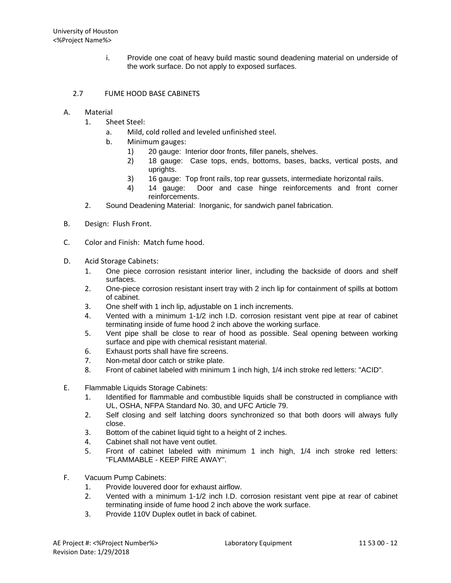i. Provide one coat of heavy build mastic sound deadening material on underside of the work surface. Do not apply to exposed surfaces.

# 2.7 FUME HOOD BASE CABINETS

## A. Material

- 1. Sheet Steel:
	- a. Mild, cold rolled and leveled unfinished steel.
	- b. Minimum gauges:
		- 1) 20 gauge: Interior door fronts, filler panels, shelves.
		- 2) 18 gauge: Case tops, ends, bottoms, bases, backs, vertical posts, and uprights.
		- 3) 16 gauge: Top front rails, top rear gussets, intermediate horizontal rails.
		- 4) 14 gauge: Door and case hinge reinforcements and front corner reinforcements.
- 2. Sound Deadening Material: Inorganic, for sandwich panel fabrication.
- B. Design: Flush Front.
- C. Color and Finish: Match fume hood.
- D. Acid Storage Cabinets:
	- 1. One piece corrosion resistant interior liner, including the backside of doors and shelf surfaces.
	- 2. One-piece corrosion resistant insert tray with 2 inch lip for containment of spills at bottom of cabinet.
	- 3. One shelf with 1 inch lip, adjustable on 1 inch increments.
	- 4. Vented with a minimum 1-1/2 inch I.D. corrosion resistant vent pipe at rear of cabinet terminating inside of fume hood 2 inch above the working surface.
	- 5. Vent pipe shall be close to rear of hood as possible. Seal opening between working surface and pipe with chemical resistant material.
	- 6. Exhaust ports shall have fire screens.
	- 7. Non-metal door catch or strike plate.
	- 8. Front of cabinet labeled with minimum 1 inch high, 1/4 inch stroke red letters: "ACID".
- E. Flammable Liquids Storage Cabinets:
	- 1. Identified for flammable and combustible liquids shall be constructed in compliance with UL, OSHA, NFPA Standard No. 30, and UFC Article 79.
	- 2. Self closing and self latching doors synchronized so that both doors will always fully close.
	- 3. Bottom of the cabinet liquid tight to a height of 2 inches.
	- 4. Cabinet shall not have vent outlet.
	- 5. Front of cabinet labeled with minimum 1 inch high, 1/4 inch stroke red letters: "FLAMMABLE - KEEP FIRE AWAY".
- F. Vacuum Pump Cabinets:
	- 1. Provide louvered door for exhaust airflow.
	- 2. Vented with a minimum 1-1/2 inch I.D. corrosion resistant vent pipe at rear of cabinet terminating inside of fume hood 2 inch above the work surface.
	- 3. Provide 110V Duplex outlet in back of cabinet.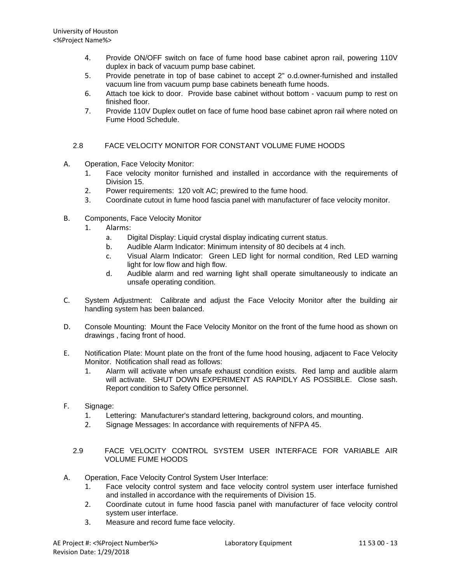- 4. Provide ON/OFF switch on face of fume hood base cabinet apron rail, powering 110V duplex in back of vacuum pump base cabinet.
- 5. Provide penetrate in top of base cabinet to accept 2" o.d.owner-furnished and installed vacuum line from vacuum pump base cabinets beneath fume hoods.
- 6. Attach toe kick to door. Provide base cabinet without bottom vacuum pump to rest on finished floor.
- 7. Provide 110V Duplex outlet on face of fume hood base cabinet apron rail where noted on Fume Hood Schedule.

# 2.8 FACE VELOCITY MONITOR FOR CONSTANT VOLUME FUME HOODS

- A. Operation, Face Velocity Monitor:
	- 1. Face velocity monitor furnished and installed in accordance with the requirements of Division 15.
	- 2. Power requirements: 120 volt AC; prewired to the fume hood.
	- 3. Coordinate cutout in fume hood fascia panel with manufacturer of face velocity monitor.
- B. Components, Face Velocity Monitor
	- 1. Alarms:
		- a. Digital Display: Liquid crystal display indicating current status.
		- b. Audible Alarm Indicator: Minimum intensity of 80 decibels at 4 inch.
		- c. Visual Alarm Indicator: Green LED light for normal condition, Red LED warning light for low flow and high flow.
		- d. Audible alarm and red warning light shall operate simultaneously to indicate an unsafe operating condition.
- C. System Adjustment: Calibrate and adjust the Face Velocity Monitor after the building air handling system has been balanced.
- D. Console Mounting: Mount the Face Velocity Monitor on the front of the fume hood as shown on drawings , facing front of hood.
- E. Notification Plate: Mount plate on the front of the fume hood housing, adjacent to Face Velocity Monitor. Notification shall read as follows:
	- 1. Alarm will activate when unsafe exhaust condition exists. Red lamp and audible alarm will activate. SHUT DOWN EXPERIMENT AS RAPIDLY AS POSSIBLE. Close sash. Report condition to Safety Office personnel.
- F. Signage:
	- 1. Lettering: Manufacturer's standard lettering, background colors, and mounting.
	- 2. Signage Messages: In accordance with requirements of NFPA 45.
	- 2.9 FACE VELOCITY CONTROL SYSTEM USER INTERFACE FOR VARIABLE AIR VOLUME FUME HOODS
- A. Operation, Face Velocity Control System User Interface:
	- 1. Face velocity control system and face velocity control system user interface furnished and installed in accordance with the requirements of Division 15.
	- 2. Coordinate cutout in fume hood fascia panel with manufacturer of face velocity control system user interface.
	- 3. Measure and record fume face velocity.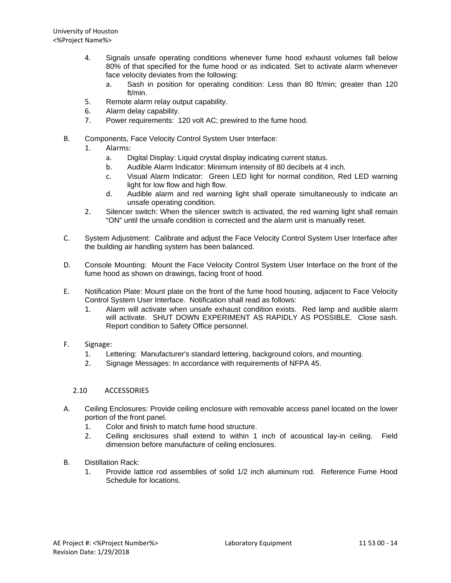- 4. Signals unsafe operating conditions whenever fume hood exhaust volumes fall below 80% of that specified for the fume hood or as indicated. Set to activate alarm whenever face velocity deviates from the following:
	- a. Sash in position for operating condition: Less than 80 ft/min; greater than 120 ft/min.
- 5. Remote alarm relay output capability.
- 6. Alarm delay capability.
- 7. Power requirements: 120 volt AC; prewired to the fume hood.
- B. Components, Face Velocity Control System User Interface:
	- 1. Alarms:
		- a. Digital Display: Liquid crystal display indicating current status.
		- b. Audible Alarm Indicator: Minimum intensity of 80 decibels at 4 inch.
		- c. Visual Alarm Indicator: Green LED light for normal condition, Red LED warning light for low flow and high flow.
		- d. Audible alarm and red warning light shall operate simultaneously to indicate an unsafe operating condition.
	- 2. Silencer switch: When the silencer switch is activated, the red warning light shall remain "ON" until the unsafe condition is corrected and the alarm unit is manually reset.
- C. System Adjustment: Calibrate and adjust the Face Velocity Control System User Interface after the building air handling system has been balanced.
- D. Console Mounting: Mount the Face Velocity Control System User Interface on the front of the fume hood as shown on drawings, facing front of hood.
- E. Notification Plate: Mount plate on the front of the fume hood housing, adjacent to Face Velocity Control System User Interface. Notification shall read as follows:
	- 1. Alarm will activate when unsafe exhaust condition exists. Red lamp and audible alarm will activate. SHUT DOWN EXPERIMENT AS RAPIDLY AS POSSIBLE. Close sash. Report condition to Safety Office personnel.
- F. Signage:
	- 1. Lettering: Manufacturer's standard lettering, background colors, and mounting.
	- 2. Signage Messages: In accordance with requirements of NFPA 45.

### 2.10 ACCESSORIES

- A. Ceiling Enclosures: Provide ceiling enclosure with removable access panel located on the lower portion of the front panel.
	- 1. Color and finish to match fume hood structure.
	- 2. Ceiling enclosures shall extend to within 1 inch of acoustical lay-in ceiling. Field dimension before manufacture of ceiling enclosures.
- B. Distillation Rack:
	- 1. Provide lattice rod assemblies of solid 1/2 inch aluminum rod. Reference Fume Hood Schedule for locations.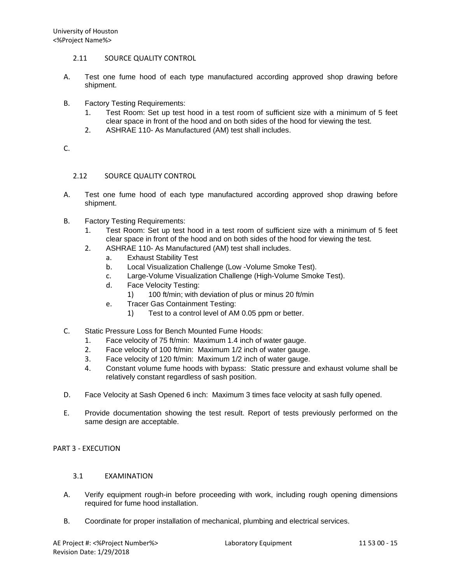- 2.11 SOURCE QUALITY CONTROL
- A. Test one fume hood of each type manufactured according approved shop drawing before shipment.
- B. Factory Testing Requirements:
	- 1. Test Room: Set up test hood in a test room of sufficient size with a minimum of 5 feet clear space in front of the hood and on both sides of the hood for viewing the test.
	- 2. ASHRAE 110- As Manufactured (AM) test shall includes.

C.

## 2.12 SOURCE QUALITY CONTROL

- A. Test one fume hood of each type manufactured according approved shop drawing before shipment.
- B. Factory Testing Requirements:
	- 1. Test Room: Set up test hood in a test room of sufficient size with a minimum of 5 feet clear space in front of the hood and on both sides of the hood for viewing the test.
	- 2. ASHRAE 110- As Manufactured (AM) test shall includes.
		- a. Exhaust Stability Test
		- b. Local Visualization Challenge (Low -Volume Smoke Test).
		- c. Large-Volume Visualization Challenge (High-Volume Smoke Test).
		- d. Face Velocity Testing:
			- 1) 100 ft/min; with deviation of plus or minus 20 ft/min
		- e. Tracer Gas Containment Testing:
			- 1) Test to a control level of AM 0.05 ppm or better.
- C. Static Pressure Loss for Bench Mounted Fume Hoods:
	- 1. Face velocity of 75 ft/min: Maximum 1.4 inch of water gauge.
	- 2. Face velocity of 100 ft/min: Maximum 1/2 inch of water gauge.
	- 3. Face velocity of 120 ft/min: Maximum 1/2 inch of water gauge.
	- 4. Constant volume fume hoods with bypass: Static pressure and exhaust volume shall be relatively constant regardless of sash position.
- D. Face Velocity at Sash Opened 6 inch: Maximum 3 times face velocity at sash fully opened.
- E. Provide documentation showing the test result. Report of tests previously performed on the same design are acceptable.

### PART 3 - EXECUTION

### 3.1 EXAMINATION

- A. Verify equipment rough-in before proceeding with work, including rough opening dimensions required for fume hood installation.
- B. Coordinate for proper installation of mechanical, plumbing and electrical services.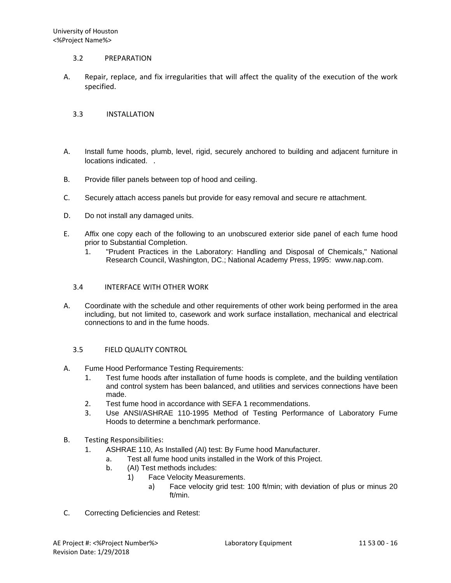### 3.2 PREPARATION

A. Repair, replace, and fix irregularities that will affect the quality of the execution of the work specified.

## 3.3 INSTALLATION

- A. Install fume hoods, plumb, level, rigid, securely anchored to building and adjacent furniture in locations indicated. .
- B. Provide filler panels between top of hood and ceiling.
- C. Securely attach access panels but provide for easy removal and secure re attachment.
- D. Do not install any damaged units.
- E. Affix one copy each of the following to an unobscured exterior side panel of each fume hood prior to Substantial Completion.
	- 1. "Prudent Practices in the Laboratory: Handling and Disposal of Chemicals," National Research Council, Washington, DC.; National Academy Press, 1995: www.nap.com.

# 3.4 INTERFACE WITH OTHER WORK

A. Coordinate with the schedule and other requirements of other work being performed in the area including, but not limited to, casework and work surface installation, mechanical and electrical connections to and in the fume hoods.

## 3.5 FIELD QUALITY CONTROL

- A. Fume Hood Performance Testing Requirements:
	- 1. Test fume hoods after installation of fume hoods is complete, and the building ventilation and control system has been balanced, and utilities and services connections have been made.
	- 2. Test fume hood in accordance with SEFA 1 recommendations.
	- 3. Use ANSI/ASHRAE 110-1995 Method of Testing Performance of Laboratory Fume Hoods to determine a benchmark performance.
- B. Testing Responsibilities:
	- 1. ASHRAE 110, As Installed (AI) test: By Fume hood Manufacturer.
		- a. Test all fume hood units installed in the Work of this Project.
		- b. (AI) Test methods includes:
			- 1) Face Velocity Measurements.
				- a) Face velocity grid test: 100 ft/min; with deviation of plus or minus 20 ft/min.
- C. Correcting Deficiencies and Retest: